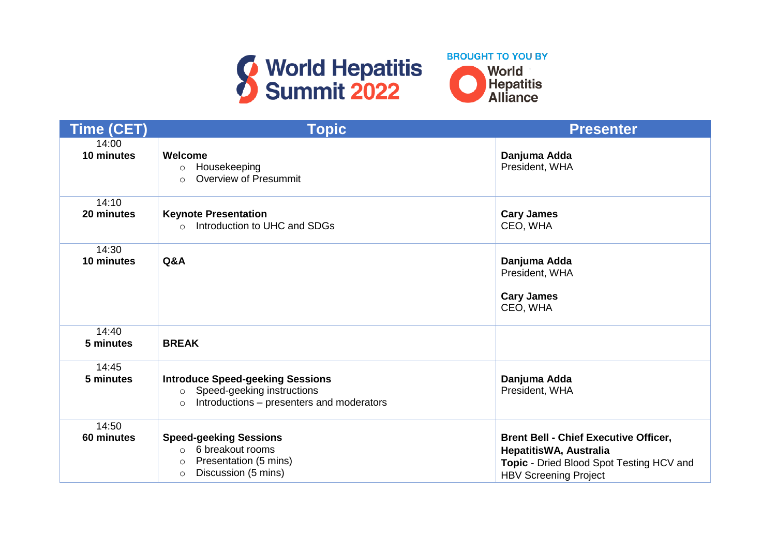



| <b>Time (CET)</b>   | <b>Topic</b>                                                                                                                             | <b>Presenter</b>                                                                                                                                   |
|---------------------|------------------------------------------------------------------------------------------------------------------------------------------|----------------------------------------------------------------------------------------------------------------------------------------------------|
| 14:00<br>10 minutes | Welcome<br>Housekeeping<br>$\circ$<br><b>Overview of Presummit</b><br>$\circ$                                                            | Danjuma Adda<br>President, WHA                                                                                                                     |
| 14:10<br>20 minutes | <b>Keynote Presentation</b><br>Introduction to UHC and SDGs<br>$\Omega$                                                                  | <b>Cary James</b><br>CEO, WHA                                                                                                                      |
| 14:30<br>10 minutes | Q&A                                                                                                                                      | Danjuma Adda<br>President, WHA<br><b>Cary James</b><br>CEO, WHA                                                                                    |
| 14:40<br>5 minutes  | <b>BREAK</b>                                                                                                                             |                                                                                                                                                    |
| 14:45<br>5 minutes  | <b>Introduce Speed-geeking Sessions</b><br>Speed-geeking instructions<br>$\circ$<br>Introductions – presenters and moderators<br>$\circ$ | Danjuma Adda<br>President, WHA                                                                                                                     |
| 14:50<br>60 minutes | <b>Speed-geeking Sessions</b><br>6 breakout rooms<br>$\circ$<br>Presentation (5 mins)<br>$\circ$<br>Discussion (5 mins)<br>$\circ$       | <b>Brent Bell - Chief Executive Officer,</b><br>HepatitisWA, Australia<br>Topic - Dried Blood Spot Testing HCV and<br><b>HBV Screening Project</b> |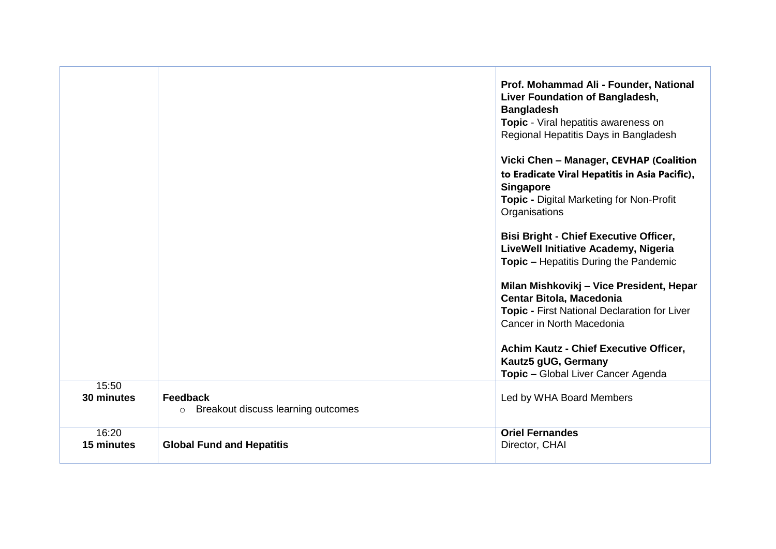|                     |                                                           | Prof. Mohammad Ali - Founder, National<br>Liver Foundation of Bangladesh,<br><b>Bangladesh</b><br>Topic - Viral hepatitis awareness on<br>Regional Hepatitis Days in Bangladesh<br>Vicki Chen - Manager, CEVHAP (Coalition<br>to Eradicate Viral Hepatitis in Asia Pacific),<br><b>Singapore</b><br><b>Topic - Digital Marketing for Non-Profit</b><br>Organisations<br><b>Bisi Bright - Chief Executive Officer,</b><br>LiveWell Initiative Academy, Nigeria<br><b>Topic - Hepatitis During the Pandemic</b><br>Milan Mishkovikj - Vice President, Hepar<br><b>Centar Bitola, Macedonia</b><br><b>Topic - First National Declaration for Liver</b><br>Cancer in North Macedonia<br>Achim Kautz - Chief Executive Officer,<br>Kautz5 gUG, Germany |
|---------------------|-----------------------------------------------------------|---------------------------------------------------------------------------------------------------------------------------------------------------------------------------------------------------------------------------------------------------------------------------------------------------------------------------------------------------------------------------------------------------------------------------------------------------------------------------------------------------------------------------------------------------------------------------------------------------------------------------------------------------------------------------------------------------------------------------------------------------|
| 15:50               |                                                           | Topic - Global Liver Cancer Agenda                                                                                                                                                                                                                                                                                                                                                                                                                                                                                                                                                                                                                                                                                                                |
| 30 minutes          | Feedback<br>Breakout discuss learning outcomes<br>$\circ$ | Led by WHA Board Members                                                                                                                                                                                                                                                                                                                                                                                                                                                                                                                                                                                                                                                                                                                          |
| 16:20<br>15 minutes | <b>Global Fund and Hepatitis</b>                          | <b>Oriel Fernandes</b><br>Director, CHAI                                                                                                                                                                                                                                                                                                                                                                                                                                                                                                                                                                                                                                                                                                          |